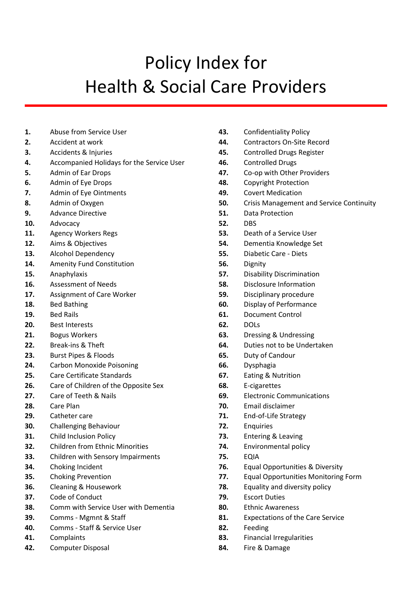## Policy Index for Health & Social Care Providers

- **1.** Abuse from Service User
- **2.** Accident at work
- **3.** Accidents & Injuries
- **4.** Accompanied Holidays for the Service User
- **5.** Admin of Ear Drops
- **6.** Admin of Eye Drops
- **7.** Admin of Eye Ointments
- **8.** Admin of Oxygen
- **9.** Advance Directive
- **10.** Advocacy
- **11.** Agency Workers Regs
- **12.** Aims & Objectives
- **13.** Alcohol Dependency
- **14.** Amenity Fund Constitution
- **15.** Anaphylaxis
- **16.** Assessment of Needs
- **17.** Assignment of Care Worker
- **18.** Bed Bathing
- **19.** Bed Rails
- **20.** Best Interests
- **21.** Bogus Workers
- **22.** Break-ins & Theft
- **23.** Burst Pipes & Floods
- **24.** Carbon Monoxide Poisoning
- **25.** Care Certificate Standards
- **26.** Care of Children of the Opposite Sex
- **27.** Care of Teeth & Nails
- **28.** Care Plan
- **29.** Catheter care
- **30.** Challenging Behaviour
- **31.** Child Inclusion Policy
- **32.** Children from Ethnic Minorities
- **33.** Children with Sensory Impairments
- **34.** Choking Incident
- **35.** Choking Prevention
- **36.** Cleaning & Housework
- **37.** Code of Conduct
- **38.** Comm with Service User with Dementia
- **39.** Comms Mgmnt & Staff
- **40.** Comms Staff & Service User
- **41.** Complaints
- **42.** Computer Disposal
- **43.** Confidentiality Policy
- **44.** Contractors On-Site Record
- **45.** Controlled Drugs Register
- **46.** Controlled Drugs
- **47.** Co-op with Other Providers
- **48.** Copyright Protection
- **49.** Covert Medication
- **50.** Crisis Management and Service Continuity
- **51.** Data Protection
- **52.** DBS
- **53.** Death of a Service User
- **54.** Dementia Knowledge Set
- **55.** Diabetic Care Diets
- **56.** Dignity
- **57.** Disability Discrimination
- **58.** Disclosure Information
- **59.** Disciplinary procedure
- **60.** Display of Performance
- **61.** Document Control
- **62.** DOLs
- **63.** Dressing & Undressing
- **64.** Duties not to be Undertaken
- **65.** Duty of Candour
- **66.** Dysphagia
- **67.** Eating & Nutrition
- **68.** E-cigarettes
- **69.** Electronic Communications
- **70.** Email disclaimer
- **71.** End-of-Life Strategy
- **72.** Enquiries
- **73.** Entering & Leaving
- **74.** Environmental policy
- **75.** EQIA
- **76.** Equal Opportunities & Diversity
- **77.** Equal Opportunities Monitoring Form
- **78.** Equality and diversity policy
- **79.** Escort Duties
- **80.** Ethnic Awareness
- **81.** Expectations of the Care Service
- **82.** Feeding
- **83.** Financial Irregularities
- **84.** Fire & Damage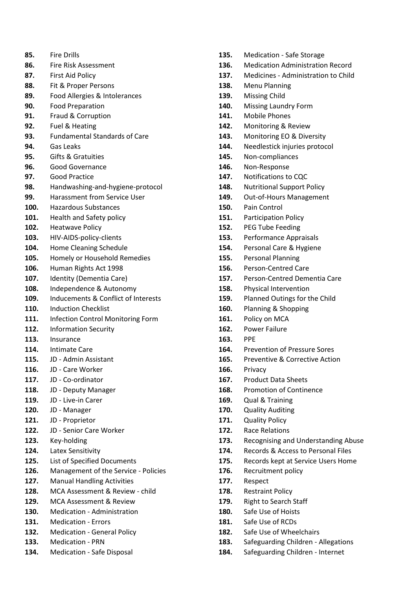- **85.** Fire Drills
- **86.** Fire Risk Assessment
- **87.** First Aid Policy
- **88.** Fit & Proper Persons
- **89.** Food Allergies & Intolerances
- **90.** Food Preparation
- **91.** Fraud & Corruption
- **92.** Fuel & Heating
- **93.** Fundamental Standards of Care
- **94.** Gas Leaks
- **95.** Gifts & Gratuities
- **96.** Good Governance
- **97.** Good Practice
- **98.** Handwashing-and-hygiene-protocol
- **99.** Harassment from Service User
- **100.** Hazardous Substances
- **101.** Health and Safety policy
- **102.** Heatwave Policy
- **103.** HIV-AIDS-policy-clients
- **104.** Home Cleaning Schedule
- **105.** Homely or Household Remedies
- **106.** Human Rights Act 1998
- **107.** Identity (Dementia Care)
- **108.** Independence & Autonomy
- **109.** Inducements & Conflict of Interests
- **110.** Induction Checklist
- **111.** Infection Control Monitoring Form
- **112.** Information Security
- **113.** Insurance
- **114.** Intimate Care
- **115.** JD Admin Assistant
- **116.** JD Care Worker
- **117.** JD Co-ordinator
- **118.** JD Deputy Manager
- **119.** JD Live-in Carer
- **120.** JD Manager
- **121.** JD Proprietor
- **122.** JD Senior Care Worker
- **123.** Key-holding
- **124.** Latex Sensitivity
- **125.** List of Specified Documents
- **126.** Management of the Service Policies
- **127.** Manual Handling Activities
- **128.** MCA Assessment & Review child
- **129.** MCA Assessment & Review
- **130.** Medication Administration
- **131.** Medication Errors
- **132.** Medication General Policy
- **133.** Medication PRN
- **134.** Medication Safe Disposal
- **135.** Medication Safe Storage
- **136.** Medication Administration Record
- **137.** Medicines Administration to Child
- **138.** Menu Planning
- **139.** Missing Child
- **140.** Missing Laundry Form
- **141.** Mobile Phones
- **142.** Monitoring & Review
- **143.** Monitoring EO & Diversity
- **144.** Needlestick injuries protocol
- **145.** Non-compliances
- **146.** Non-Response
- **147.** Notifications to CQC
- **148.** Nutritional Support Policy
- **149.** Out-of-Hours Management
- **150.** Pain Control
- **151.** Participation Policy
- **152.** PEG Tube Feeding
- **153.** Performance Appraisals
- **154.** Personal Care & Hygiene
- **155.** Personal Planning
- **156.** Person-Centred Care
- **157.** Person-Centred Dementia Care
- **158.** Physical Intervention
- **159.** Planned Outings for the Child
- **160.** Planning & Shopping
- **161.** Policy on MCA
- **162.** Power Failure
- **163.** PPE
- **164.** Prevention of Pressure Sores
- **165.** Preventive & Corrective Action
- **166.** Privacy
- **167.** Product Data Sheets
- **168.** Promotion of Continence
- **169.** Qual & Training
- **170.** Quality Auditing
- **171.** Quality Policy
- **172.** Race Relations
- **173.** Recognising and Understanding Abuse
- **174.** Records & Access to Personal Files
- **175.** Records kept at Service Users Home
- **176.** Recruitment policy
- **177.** Respect
- **178.** Restraint Policy
- **179.** Right to Search Staff
- **180.** Safe Use of Hoists
- **181.** Safe Use of RCDs
- **182.** Safe Use of Wheelchairs
- **183.** Safeguarding Children Allegations
- **184.** Safeguarding Children Internet